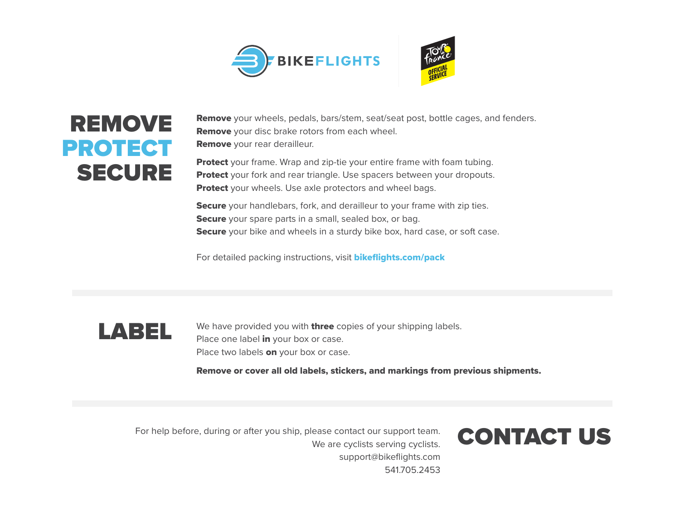

## REMOVE PROTECT SECURE

**Remove** your wheels, pedals, bars/stem, seat/seat post, bottle cages, and fenders. **Remove** your disc brake rotors from each wheel. Remove your rear derailleur.

**Protect** your frame. Wrap and zip-tie your entire frame with foam tubing. **Protect** your fork and rear triangle. Use spacers between your dropouts. **Protect** your wheels. Use axle protectors and wheel bags.

**Secure** your handlebars, fork, and derailleur to your frame with zip ties. Secure your spare parts in a small, sealed box, or bag. Secure your bike and wheels in a sturdy bike box, hard case, or soft case.

For detailed packing instructions, visit **bikeflights.com/pack** 



We have provided you with **three** copies of your shipping labels. Place one label in your box or case. Place two labels on your box or case.

Remove or cover all old labels, stickers, and markings from previous shipments.

For help before, during or after you ship, please contact our support team.<br>We are evaliate conting availate. We are cyclists serving cyclists. support@bikeflights.com 541705.2453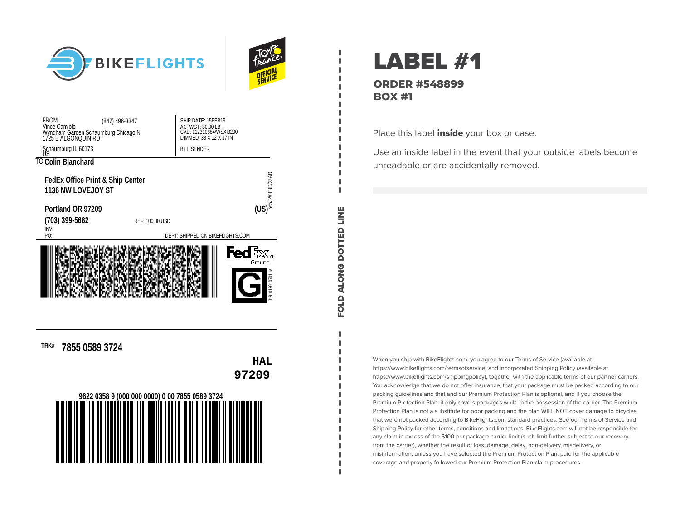



| FROM:<br>(847) 496-3347<br>Vince Camiolo<br>Wyndham Garden Schaumburg Chicago N<br>1725 E ALGONQUIN RD | SHIP DATE: 15FEB19<br>ACTWGT: 30.00 LB<br>CAD: 112310684/WSXI3200<br>DIMMED: 38 X 12 X 17 IN |  |  |  |
|--------------------------------------------------------------------------------------------------------|----------------------------------------------------------------------------------------------|--|--|--|
| Schaumburg IL 60173                                                                                    | <b>BILL SENDER</b>                                                                           |  |  |  |
| TO Colin Blanchard                                                                                     |                                                                                              |  |  |  |
| <b>FedEx Office Print &amp; Ship Center</b><br>1136 NW LOVEJOY ST                                      | $\overline{\text{CS}}$<br>$\overline{\text{CS}}$                                             |  |  |  |
| Portland OR 97209                                                                                      |                                                                                              |  |  |  |
| (703) 399-5682<br>REF: 100.00 USD                                                                      |                                                                                              |  |  |  |
| INV:<br>PO:                                                                                            | DEPT: SHIPPED ON BIKEFLIGHTS.COM                                                             |  |  |  |
| Ground<br>v191019010701uv                                                                              |                                                                                              |  |  |  |

**TRK# 7855 0589 3724**



LABEL #1 **ORDER #548899 BOX #1**

FOLD ALONG DOTTED LINE

FOLD ALONG DOTTED LINE

Place this label *inside* your box or case.

Use an inside label in the event that your outside labels become unreadable or are accidentally removed.

When you ship with BikeFlights.com, you agree to our Terms of Service (available at https://www.bikeflights.com/termsofservice) and incorporated Shipping Policy (available at https://www.bikeflights.com/shippingpolicy), together with the applicable terms of our partner carriers. You acknowledge that we do not offer insurance, that your package must be packed according to our packing guidelines and that and our Premium Protection Plan is optional, and if you choose the Premium Protection Plan, it only covers packages while in the possession of the carrier. The Premium Protection Plan is not a substitute for poor packing and the plan WILL NOT cover damage to bicycles that were not packed according to BikeFlights.com standard practices. See our Terms of Service and Shipping Policy for other terms, conditions and limitations. BikeFlights.com will not be responsible for any claim in excess of the \$100 per package carrier limit (such limit further subject to our recovery from the carrier), whether the result of loss, damage, delay, non-delivery, misdelivery, or misinformation, unless you have selected the Premium Protection Plan, paid for the applicable coverage and properly followed our Premium Protection Plan claim procedures.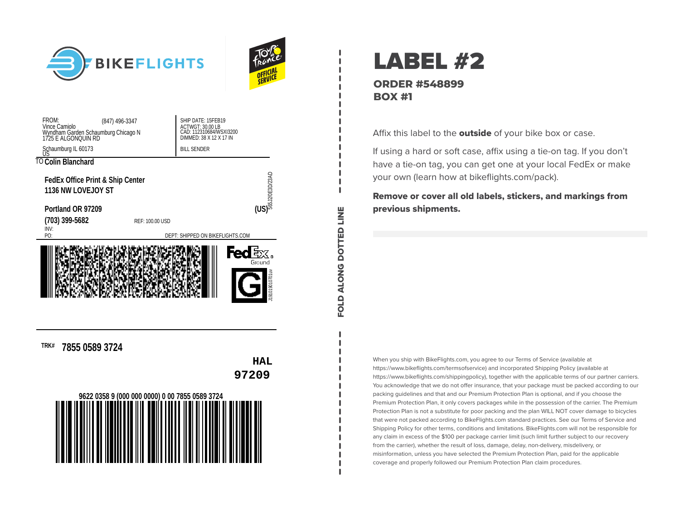



FOLD ALONG DOTTED LINE

FOLD ALONG DOTTED LINE

| FROM:<br>(847) 496-3347<br>Vince Camiolo<br>Wyndham Garden Schaumburg Chicago N<br>1725 E ALGONQUIN RD | SHIP DATE: 15FEB19<br>ACTWGT: 30.00 LB<br>CAD: 112310684/WSXI3200<br>DIMMED: 38 X 12 X 17 IN |                        |  |  |  |
|--------------------------------------------------------------------------------------------------------|----------------------------------------------------------------------------------------------|------------------------|--|--|--|
| Schaumburg IL 60173                                                                                    | <b>BILL SENDER</b>                                                                           |                        |  |  |  |
| TO Colin Blanchard                                                                                     |                                                                                              |                        |  |  |  |
| <b>FedEx Office Print &amp; Ship Center</b><br><b>1136 NW LOVEJOY ST</b>                               |                                                                                              | $\overline{\text{CS}}$ |  |  |  |
| Portland OR 97209                                                                                      |                                                                                              |                        |  |  |  |
| (703) 399-5682                                                                                         | REF: 100.00 USD                                                                              |                        |  |  |  |
| INV:<br>PO:                                                                                            | DEPT: SHIPPED ON BIKEFLIGHTS.COM                                                             |                        |  |  |  |
| Fed $\mathop{\mathbb{E}}$ x.<br>Ground<br>whoropotoran                                                 |                                                                                              |                        |  |  |  |

**TRK# 7855 0589 3724**



LABEL #2 **ORDER #548899 BOX #1**

Affix this label to the outside of your bike box or case.

If using a hard or soft case, affix using a tie-on tag. If you don't have a tie-on tag, you can get one at your local FedEx or make your own (learn how at bikeflights.com/pack).

Remove or cover all old labels, stickers, and markings from previous shipments.

When you ship with BikeFlights.com, you agree to our Terms of Service (available at https://www.bikeflights.com/termsofservice) and incorporated Shipping Policy (available at https://www.bikeflights.com/shippingpolicy), together with the applicable terms of our partner carriers. You acknowledge that we do not offer insurance, that your package must be packed according to our packing guidelines and that and our Premium Protection Plan is optional, and if you choose the Premium Protection Plan, it only covers packages while in the possession of the carrier. The Premium Protection Plan is not a substitute for poor packing and the plan WILL NOT cover damage to bicycles that were not packed according to BikeFlights.com standard practices. See our Terms of Service and Shipping Policy for other terms, conditions and limitations. BikeFlights.com will not be responsible for any claim in excess of the \$100 per package carrier limit (such limit further subject to our recovery from the carrier), whether the result of loss, damage, delay, non-delivery, misdelivery, or misinformation, unless you have selected the Premium Protection Plan, paid for the applicable coverage and properly followed our Premium Protection Plan claim procedures.